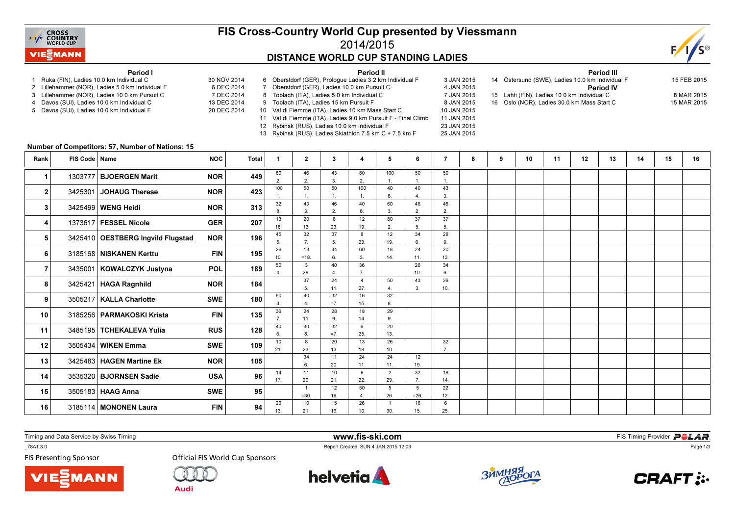

## FIS Cross-Country World Cup presented by Viessmann2014/2015DISTANCE WORLD CUP STANDING LADIES

Period II



#### Period I

- 1 Ruka (FIN), Ladies 10.0 km Individual C 30 NOV 2014
- 2 Lillehammer (NOR), Ladies 5.0 km Individual F
- 3 Lillehammer (NOR), Ladies 10.0 km Pursuit C
- 4 Davos (SUI), Ladies 10.0 km Individual C
- 5 Davos (SUI), Ladies 10.0 km Individual F
- 6 DEC 2014 7 DEC 2014 13 DEC 2014 20 DEC 2014 7 Oberstdorf (GER), Ladies 10.0 km Pursuit C 4 JA 8 Toblach (ITA), Ladies 5.0 km Individual C 7 JA 9 Toblach (ITA), Ladies 15 km Pursuit F 8 JA 10 Val di Fiemme (ITA), Ladies 10 km Mass Start C 10 JA
	- 11 Val di Fiemme (ITA), Ladies 9.0 km Pursuit F Final Climb12 Rybinsk (RUS), Ladies 10.0 km Individual F

13 Rybinsk (RUS), Ladies Skiathlon 7.5 km C + 7.5 km F

| 6 Oberstdorf (GER), Prologue Ladies 3.2 km Individual F       | 3 JAN 2015  | 14 Östersund (SWE), La    |
|---------------------------------------------------------------|-------------|---------------------------|
| 7 Oberstdorf (GER), Ladies 10.0 km Pursuit C                  | 4 JAN 2015  |                           |
| 8 Toblach (ITA), Ladies 5.0 km Individual C                   | 7 JAN 2015  | 15 Lahti (FIN), Ladies 10 |
| 9 Toblach (ITA), Ladies 15 km Pursuit F                       | 8 JAN 2015  | 16 Oslo (NOR), Ladies 3   |
| 0 Val di Fiemme (ITA). Ladies 10 km Mass Start C              | 10 JAN 2015 |                           |
| 1 Val di Fiemme (ITA), Ladies 9.0 km Pursuit F - Final Climb_ | 11 JAN 2015 |                           |
| 2 Rybinsk (RUS), Ladies 10.0 km Individual F                  | 23 JAN 2015 |                           |

25 JAN 2015

Period III <sup>14</sup> Östersund (SWE), Ladies 10.0 km Individual F 15 FEB 2015Period IV1.0 km Individual C 8 MAR 2015 15 MAR 2015 16.0 km Mass Start C

#### Number of Competitors: 57, Number of Nations: 15

| Rank           | FIS Code   Name |                                   | <b>NOC</b> | Total             | -1                    | $\mathbf{2}$         | 3         |                       | 5              | 6         | 7        | 8 | 9 | 10 | 11 | 12 | 13 | 14 | 15 | 16 |
|----------------|-----------------|-----------------------------------|------------|-------------------|-----------------------|----------------------|-----------|-----------------------|----------------|-----------|----------|---|---|----|----|----|----|----|----|----|
| 1              |                 | 1303777   BJOERGEN Marit          | <b>NOR</b> | 449               | 80                    | 46                   | 43        | 80                    | 100            | 50        | 50       |   |   |    |    |    |    |    |    |    |
|                |                 |                                   |            |                   | $\overline{2}$<br>100 | $\overline{2}$<br>50 | 3.<br>50  | $\overline{2}$<br>100 | 40             | 40        | 43       |   |   |    |    |    |    |    |    |    |
| $\mathbf{2}$   | 3425301         | JOHAUG Therese                    | <b>NOR</b> | 423               |                       |                      |           |                       | 6              | 4         | 3.       |   |   |    |    |    |    |    |    |    |
| 3              |                 | 3425499   WENG Heidi              | <b>NOR</b> | 313               | 32                    | 43                   | 46        | 40                    | 60             | 46        | 46       |   |   |    |    |    |    |    |    |    |
|                |                 |                                   |            |                   |                       | 3.                   | 2.        | 6.                    | 3.             | 2.        | 2.       |   |   |    |    |    |    |    |    |    |
| 4              |                 | 1373617 FESSEL Nicole             | <b>GER</b> | 207               | 13                    | 20                   | 8         | 12                    | 80             | 37<br>5   | 37       |   |   |    |    |    |    |    |    |    |
|                |                 |                                   |            |                   | 18.<br>45             | 13.<br>32            | 23.<br>37 | 19.<br>8              | 2.<br>12       | 34        | 5<br>28  |   |   |    |    |    |    |    |    |    |
| 5              |                 | 3425410 OESTBERG Ingvild Flugstad | <b>NOR</b> | 196               | 5                     | $\overline{7}$       | 5.        | 23.                   | 19.            | 6.        | 9.       |   |   |    |    |    |    |    |    |    |
|                |                 |                                   |            |                   | 26                    | 13                   | 34        | 60                    | 18             | 24        | 20       |   |   |    |    |    |    |    |    |    |
| 6              |                 | 3185168 NISKANEN Kerttu           | <b>FIN</b> | 195               | 10.                   | $=18.$               | 6.        | $\mathcal{R}$         | 14.            | 11.       | 13.      |   |   |    |    |    |    |    |    |    |
| $\overline{7}$ |                 | 3435001   KOWALCZYK Justyna       | <b>POL</b> | 189               | 50                    | 3                    | 40        | 36                    |                | 26        | 34       |   |   |    |    |    |    |    |    |    |
|                |                 |                                   |            |                   |                       | 28.                  |           |                       |                | 10.       | 6.       |   |   |    |    |    |    |    |    |    |
| 8              |                 | 3425421   HAGA Ragnhild           | <b>NOR</b> | 184               |                       | 37                   | 24        | $\overline{4}$        | 50             | 43        | 26       |   |   |    |    |    |    |    |    |    |
|                |                 |                                   |            |                   | 60                    | 5.<br>40             | 11.<br>32 | 27.<br>16             | 32             | 3.        | 10.      |   |   |    |    |    |    |    |    |    |
| 9              |                 | 3505217   KALLA Charlotte         | <b>SWE</b> | 180               | 3                     |                      | $=7$      | 15.                   | 8              |           |          |   |   |    |    |    |    |    |    |    |
|                |                 |                                   |            |                   | 36                    | 24                   | 28        | 18                    | 29             |           |          |   |   |    |    |    |    |    |    |    |
| 10             |                 | 3185256   PARMAKOSKI Krista       |            | 135<br><b>FIN</b> |                       | 11.                  | 9.        | 14.                   | 9.             |           |          |   |   |    |    |    |    |    |    |    |
| 11             |                 | 3485195   TCHEKALEVA Yulia        | <b>RUS</b> | 128               | 40                    | 30                   | 32        | 6                     | 20             |           |          |   |   |    |    |    |    |    |    |    |
|                |                 |                                   |            |                   | 6                     | 8                    | $=7$ .    | 25.                   | 13.            |           |          |   |   |    |    |    |    |    |    |    |
| 12             |                 | 3505434 WIKEN Emma                | <b>SWE</b> | 109               | 10                    | 8                    | 20        | 13                    | 26             |           | 32       |   |   |    |    |    |    |    |    |    |
|                |                 |                                   |            |                   | 21.                   | 23.<br>34            | 13.<br>11 | 18.<br>24             | 10.<br>24      | 12        | 7.       |   |   |    |    |    |    |    |    |    |
| 13             |                 | 3425483   HAGEN Martine Ek        | <b>NOR</b> | 105               |                       | 6.                   | 20.       | 11.                   | 11.            | 19.       |          |   |   |    |    |    |    |    |    |    |
| 14             |                 | 3535320   BJORNSEN Sadie          | <b>USA</b> | 96                | 14                    | 11                   | 10        | 9                     | $\overline{2}$ | 32        | 18       |   |   |    |    |    |    |    |    |    |
|                |                 |                                   |            |                   | 17.                   | 20.                  | 21.       | 22.                   | 29.            |           | 14.      |   |   |    |    |    |    |    |    |    |
| 15             |                 | 3505183 HAAG Anna                 | <b>SWE</b> | 95                |                       | $\overline{1}$       | 12        | 50                    | $5^{\circ}$    | 5         | 22       |   |   |    |    |    |    |    |    |    |
|                |                 |                                   |            |                   |                       | $=30.$               | 19.       |                       | 26.            | $=26$ .   | 12.      |   |   |    |    |    |    |    |    |    |
| 16             |                 | 3185114   MONONEN Laura           | <b>FIN</b> | 94                | 20<br>13.             | 10<br>21.            | 15<br>16. | 26<br>10.             | 30.            | 16<br>15. | 6<br>25. |   |   |    |    |    |    |    |    |    |

Timing and Data Service by Swiss Timing

**MANN!** 

\_78A1 3.0

**FIS Presenting Sponsor** 



**Audi** 



www.fis-ski.com

Report Created SUN 4 JAN 2015 12:03



**m**<br>FIS Timing Provider<br>F<sup>12.02</sup>



Page 1/3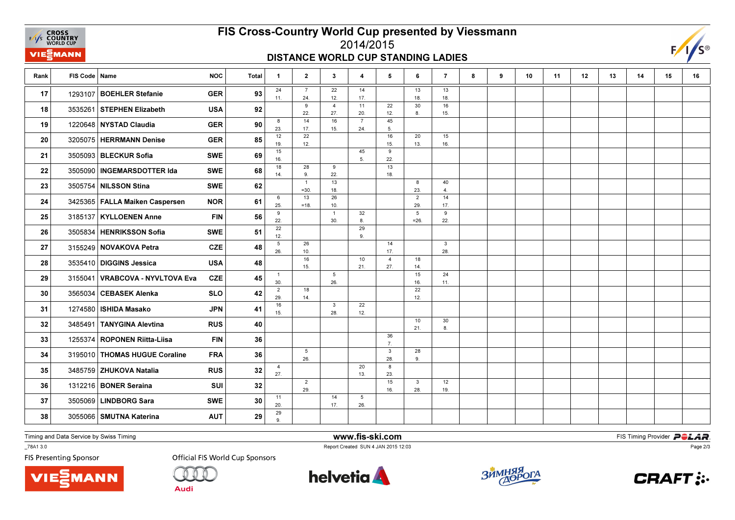**EXAMPLE CROSS**<br>
FAYS **COUNTRY**<br>
WORLD CUP VIEZMANN

## FIS Cross-Country World Cup presented by Viessmann2014/2015

#### DISTANCE WORLD CUP STANDING LADIES



| Rank | FIS Code   Name |                                  | <b>NOC</b> | <b>Total</b> | $\mathbf{1}$           | $\overline{2}$        | $3^{\circ}$            | $\overline{4}$        | 5                     | 6                     | $\overline{7}$ | 8 | 9 | 10 | 11 | 12 | 13 | 14 | 15 | 16 |
|------|-----------------|----------------------------------|------------|--------------|------------------------|-----------------------|------------------------|-----------------------|-----------------------|-----------------------|----------------|---|---|----|----|----|----|----|----|----|
| 17   |                 | 1293107 BOEHLER Stefanie         | <b>GER</b> | 93           | 24<br>11.              | $\overline{7}$<br>24. | 22<br>12.              | 14<br>17.             |                       | 13<br>18.             | 13<br>18.      |   |   |    |    |    |    |    |    |    |
| 18   |                 | 3535261 STEPHEN Elizabeth        | <b>USA</b> | 92           |                        | 9<br>22.              | $\overline{4}$<br>27.  | 11<br>20.             | 22<br>12.             | 30<br>8.              | 16<br>15.      |   |   |    |    |    |    |    |    |    |
| 19   |                 | 1220648 NYSTAD Claudia           | <b>GER</b> | 90           | 8<br>23.               | 14<br>17.             | 16<br>15.              | $\overline{7}$<br>24. | 45<br>5.              |                       |                |   |   |    |    |    |    |    |    |    |
| 20   |                 | 3205075   HERRMANN Denise        | <b>GER</b> | 85           | 12<br>19.              | 22<br>12.             |                        |                       | 16<br>15.             | 20<br>13.             | 15<br>16.      |   |   |    |    |    |    |    |    |    |
| 21   |                 | 3505093   BLECKUR Sofia          | <b>SWE</b> | 69           | 15<br>16.              |                       |                        | 45<br>5.              | 9<br>22.              |                       |                |   |   |    |    |    |    |    |    |    |
| 22   |                 | 3505090   INGEMARSDOTTER Ida     | <b>SWE</b> | 68           | 18<br>14.              | 28<br>9.              | 9<br>22.               |                       | 13<br>18.             |                       |                |   |   |    |    |    |    |    |    |    |
| 23   |                 | 3505754 NILSSON Stina            | <b>SWE</b> | 62           |                        | $\overline{1}$        | 13                     |                       |                       | 8                     | 40             |   |   |    |    |    |    |    |    |    |
| 24   |                 | 3425365   FALLA Maiken Caspersen | <b>NOR</b> | 61           | 6                      | $=30.$<br>13          | 18.<br>26              |                       |                       | 23.<br>$\overline{2}$ | 4.<br>14       |   |   |    |    |    |    |    |    |    |
| 25   |                 | 3185137   KYLLOENEN Anne         | <b>FIN</b> | 56           | 25.<br>9               | $=18.$                | 10.<br>$\overline{1}$  | 32                    |                       | 29.<br>5              | 17.<br>9       |   |   |    |    |    |    |    |    |    |
| 26   |                 | 3505834   HENRIKSSON Sofia       | <b>SWE</b> |              | 22.<br>22              |                       | 30.                    | 8.<br>29              |                       | $= 26.$               | 22.            |   |   |    |    |    |    |    |    |    |
|      |                 |                                  |            | 51           | 12.<br>$5\phantom{.0}$ | 26                    |                        | 9.                    | 14                    |                       | $\mathbf{3}$   |   |   |    |    |    |    |    |    |    |
| 27   |                 | 3155249 NOVAKOVA Petra           | <b>CZE</b> | 48           | 26.                    | 10.                   |                        |                       | 17.                   |                       | 28.            |   |   |    |    |    |    |    |    |    |
| 28   |                 | 3535410 DIGGINS Jessica          | <b>USA</b> | 48           |                        | 16<br>15.             |                        | 10<br>21.             | $\overline{4}$<br>27. | 18<br>14.             |                |   |   |    |    |    |    |    |    |    |
| 29   | 3155041         | VRABCOVA - NYVLTOVA Eva          | <b>CZE</b> | 45           | $\overline{1}$<br>30.  |                       | $5\phantom{.0}$<br>26. |                       |                       | 15<br>16.             | 24<br>11.      |   |   |    |    |    |    |    |    |    |
| 30   | 3565034         | <b>CEBASEK Alenka</b>            | <b>SLO</b> | 42           | $\overline{2}$<br>29.  | 18<br>14.             |                        |                       |                       | 22<br>12.             |                |   |   |    |    |    |    |    |    |    |
| 31   | 1274580         | <b>ISHIDA Masako</b>             | <b>JPN</b> | 41           | 16<br>15.              |                       | 3<br>28.               | 22<br>12.             |                       |                       |                |   |   |    |    |    |    |    |    |    |
| 32   |                 | 3485491 TANYGINA Alevtina        | <b>RUS</b> | 40           |                        |                       |                        |                       |                       | 10                    | 30             |   |   |    |    |    |    |    |    |    |
| 33   |                 | 1255374 ROPONEN Riitta-Liisa     | <b>FIN</b> | 36           |                        |                       |                        |                       | 36                    | 21.                   | 8.             |   |   |    |    |    |    |    |    |    |
| 34   |                 | 3195010 THOMAS HUGUE Coraline    | <b>FRA</b> | 36           |                        | 5                     |                        |                       | 7.<br>$\mathbf{3}$    | 28                    |                |   |   |    |    |    |    |    |    |    |
| 35   |                 | 3485759 ZHUKOVA Natalia          | <b>RUS</b> |              | $\overline{4}$         | 26.                   |                        | 20                    | 28.<br>8              | 9.                    |                |   |   |    |    |    |    |    |    |    |
|      |                 |                                  |            | 32           | 27.                    | $\overline{2}$        |                        | 13.                   | 23.<br>15             | $\mathbf{3}$          | 12             |   |   |    |    |    |    |    |    |    |
| 36   |                 | 1312216 BONER Seraina            | SUI        | 32           |                        | 29.                   |                        |                       | 16.                   | 28.                   | 19.            |   |   |    |    |    |    |    |    |    |
| 37   | 3505069         | <b>LINDBORG Sara</b>             | <b>SWE</b> | 30           | 11<br>20.              |                       | 14<br>17.              | 5<br>26.              |                       |                       |                |   |   |    |    |    |    |    |    |    |
| 38   |                 | 3055066   SMUTNA Katerina        | <b>AUT</b> | 29           | 29<br>9.               |                       |                        |                       |                       |                       |                |   |   |    |    |    |    |    |    |    |

Timing and Data Service by Swiss Timing

VIEZMANN

\_78A1 3.0

**FIS Presenting Sponsor** 



**Audi** 



www.fis-ski.com

Report Created SUN 4 JAN 2015 12:03



**m**<br>FIS Timing Provider<br>F<sup>12.02</sup>



Page 2/3